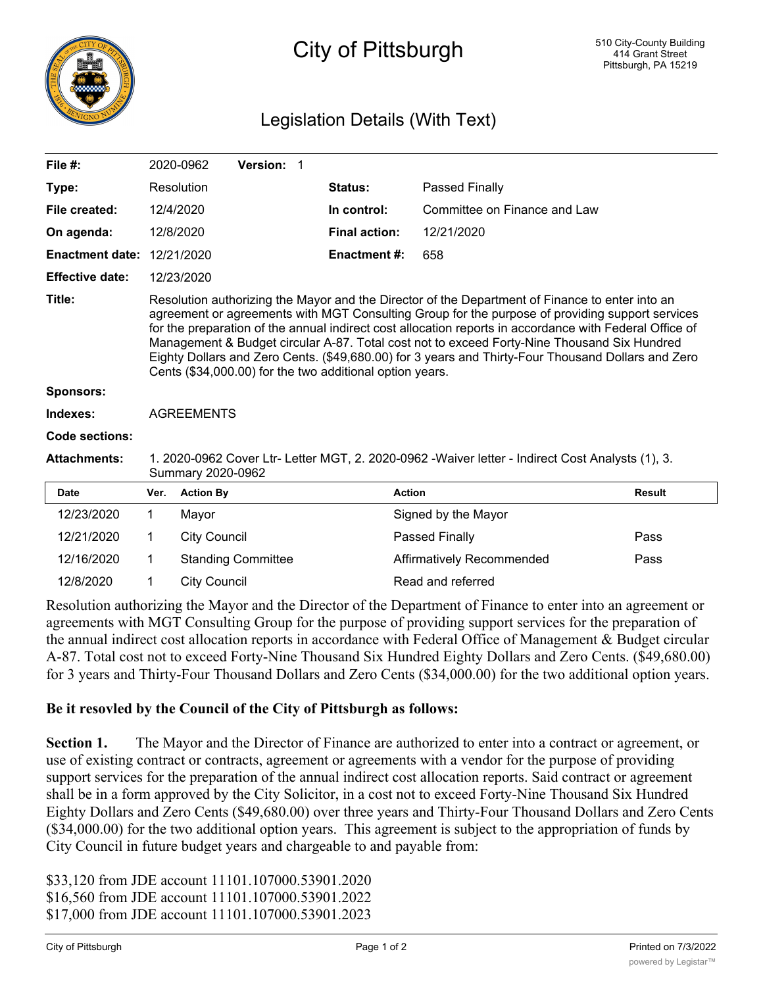

## City of Pittsburgh

## Legislation Details (With Text)

| File $#$ :             |                                                                                                                                                                                                                                                                                                                                                                                                                                                                                                                                                                                | 2020-0962           | Version: 1                |  |                      |                              |  |               |
|------------------------|--------------------------------------------------------------------------------------------------------------------------------------------------------------------------------------------------------------------------------------------------------------------------------------------------------------------------------------------------------------------------------------------------------------------------------------------------------------------------------------------------------------------------------------------------------------------------------|---------------------|---------------------------|--|----------------------|------------------------------|--|---------------|
| Type:                  |                                                                                                                                                                                                                                                                                                                                                                                                                                                                                                                                                                                | Resolution          |                           |  | Status:              | Passed Finally               |  |               |
| File created:          | 12/4/2020                                                                                                                                                                                                                                                                                                                                                                                                                                                                                                                                                                      |                     |                           |  | In control:          | Committee on Finance and Law |  |               |
| On agenda:             | 12/8/2020                                                                                                                                                                                                                                                                                                                                                                                                                                                                                                                                                                      |                     |                           |  | <b>Final action:</b> | 12/21/2020                   |  |               |
| <b>Enactment date:</b> |                                                                                                                                                                                                                                                                                                                                                                                                                                                                                                                                                                                | 12/21/2020          |                           |  | <b>Enactment#:</b>   | 658                          |  |               |
| <b>Effective date:</b> |                                                                                                                                                                                                                                                                                                                                                                                                                                                                                                                                                                                | 12/23/2020          |                           |  |                      |                              |  |               |
| Title:                 | Resolution authorizing the Mayor and the Director of the Department of Finance to enter into an<br>agreement or agreements with MGT Consulting Group for the purpose of providing support services<br>for the preparation of the annual indirect cost allocation reports in accordance with Federal Office of<br>Management & Budget circular A-87. Total cost not to exceed Forty-Nine Thousand Six Hundred<br>Eighty Dollars and Zero Cents. (\$49,680.00) for 3 years and Thirty-Four Thousand Dollars and Zero<br>Cents (\$34,000.00) for the two additional option years. |                     |                           |  |                      |                              |  |               |
| <b>Sponsors:</b>       |                                                                                                                                                                                                                                                                                                                                                                                                                                                                                                                                                                                |                     |                           |  |                      |                              |  |               |
| Indexes:               | <b>AGREEMENTS</b>                                                                                                                                                                                                                                                                                                                                                                                                                                                                                                                                                              |                     |                           |  |                      |                              |  |               |
| Code sections:         |                                                                                                                                                                                                                                                                                                                                                                                                                                                                                                                                                                                |                     |                           |  |                      |                              |  |               |
| <b>Attachments:</b>    | 1. 2020-0962 Cover Ltr- Letter MGT, 2. 2020-0962 -Waiver letter - Indirect Cost Analysts (1), 3.<br>Summary 2020-0962                                                                                                                                                                                                                                                                                                                                                                                                                                                          |                     |                           |  |                      |                              |  |               |
| <b>Date</b>            | Ver.                                                                                                                                                                                                                                                                                                                                                                                                                                                                                                                                                                           | <b>Action By</b>    |                           |  |                      | <b>Action</b>                |  | <b>Result</b> |
| 12/23/2020             | 1                                                                                                                                                                                                                                                                                                                                                                                                                                                                                                                                                                              | Mayor               |                           |  |                      | Signed by the Mayor          |  |               |
| 12/21/2020             | 1                                                                                                                                                                                                                                                                                                                                                                                                                                                                                                                                                                              | <b>City Council</b> |                           |  |                      | Passed Finally               |  | Pass          |
| 12/16/2020             | 1.                                                                                                                                                                                                                                                                                                                                                                                                                                                                                                                                                                             |                     | <b>Standing Committee</b> |  |                      | Affirmatively Recommended    |  | Pass          |
| 12/8/2020              |                                                                                                                                                                                                                                                                                                                                                                                                                                                                                                                                                                                | <b>City Council</b> |                           |  |                      |                              |  |               |

Resolution authorizing the Mayor and the Director of the Department of Finance to enter into an agreement or agreements with MGT Consulting Group for the purpose of providing support services for the preparation of the annual indirect cost allocation reports in accordance with Federal Office of Management & Budget circular A-87. Total cost not to exceed Forty-Nine Thousand Six Hundred Eighty Dollars and Zero Cents. (\$49,680.00) for 3 years and Thirty-Four Thousand Dollars and Zero Cents (\$34,000.00) for the two additional option years.

## **Be it resovled by the Council of the City of Pittsburgh as follows:**

**Section 1.** The Mayor and the Director of Finance are authorized to enter into a contract or agreement, or use of existing contract or contracts, agreement or agreements with a vendor for the purpose of providing support services for the preparation of the annual indirect cost allocation reports. Said contract or agreement shall be in a form approved by the City Solicitor, in a cost not to exceed Forty-Nine Thousand Six Hundred Eighty Dollars and Zero Cents (\$49,680.00) over three years and Thirty-Four Thousand Dollars and Zero Cents (\$34,000.00) for the two additional option years. This agreement is subject to the appropriation of funds by City Council in future budget years and chargeable to and payable from:

\$33,120 from JDE account 11101.107000.53901.2020 \$16,560 from JDE account 11101.107000.53901.2022 \$17,000 from JDE account 11101.107000.53901.2023